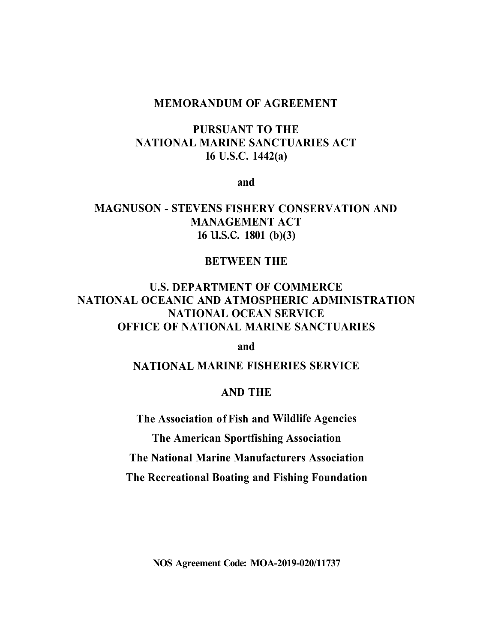### **MEMORANDUM OF AGREEMENT**

# **PURSUANT TO THE NATIONAL MARINE SANCTUARIES ACT 16 U.S.C. 1442(a)**

**and** 

# **MAGNUSON - STEVENS FISHERY CONSERVATION AND MANAGEMENT ACT <sup>16</sup>**u.s.c. **1801 (b)(3)**

## **BETWEEN THE**

# **U.S. DEPARTMENT OF COMMERCE NATIONAL OCEANIC AND ATMOSPHERIC ADMINISTRATION NATIONAL OCEAN SERVICE OFFICE OF NATIONAL MARINE SANCTUARIES**

**and** 

**NATIONAL MARINE FISHERIES SERVICE** 

### **AND THE**

**The Association of Fish and Wildlife Agencies The American Sportfishing Association The National Marine Manufacturers Association The Recreational Boating and Fishing Foundation** 

**NOS Agreement Code: MOA-2019-020/11737**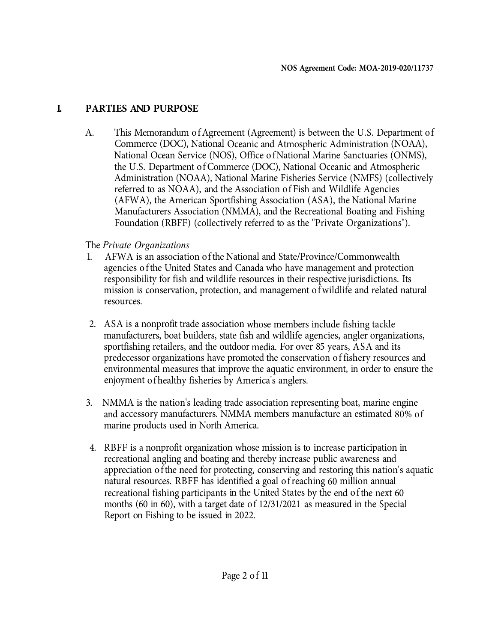# **I. PARTIES AND PURPOSE**

A. This Memorandum of Agreement (Agreement) is between the U.S. Department of Commerce (DOC), National Oceanic and Atmospheric Administration (NOAA), National Ocean Service (NOS), Office of National Marine Sanctuaries (ONMS), the U.S. Department of Commerce (DOC), National Oceanic and Atmospheric Administration (NOAA), National Marine Fisheries Service (NMFS) (collectively referred to as NOAA), and the Association of Fish and Wildlife Agencies (AFW A), the American Sportfishing Association (ASA), the National Marine Manufacturers Association (NMMA), and the Recreational Boating and Fishing Foundation (RBFF) ( collectively referred to as the "Private Organizations").

### The *Private Organizations*

- 1. AFW A is an association of the National and State/Province/Commonwealth agencies of the United States and Canada who have management and protection responsibility for fish and wildlife resources in their respective jurisdictions. Its mission is conservation, protection, and management of wildlife and related natural resources.
- 2. ASA is a nonprofit trade association whose members include fishing tackle manufacturers, boat builders, state fish and wildlife agencies, angler organizations, sportfishing retailers, and the outdoor media. For over 85 years, ASA and its predecessor organizations have promoted the conservation of fishery resources and environmental measures that improve the aquatic environment, in order to ensure the enjoyment of healthy fisheries by America's anglers.
- 3. NMMA is the nation's leading trade association representing boat, marine engine and accessory manufacturers. NMMA members manufacture an estimated 80% of marine products used in North America.
- 4. RBFF is a nonprofit organization whose mission is to increase participation in recreational angling and boating and thereby increase public awareness and appreciation of the need for protecting, conserving and restoring this nation's aquatic natural resources. RBFF has identified a goal of reaching 60 million annual recreational fishing participants in the United States by the end of the next 60 months (60 in 60), with a target date of 12/31/2021 as measured in the Special Report on Fishing to be issued in 2022.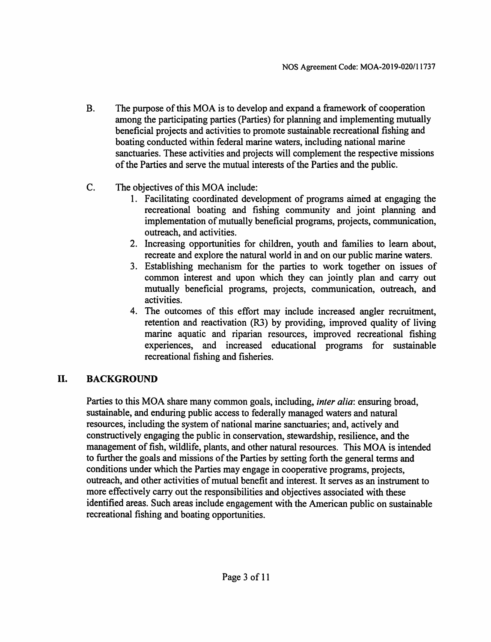- $B<sub>1</sub>$ The purpose of this MOA is to develop and expand a framework of cooperation among the participating parties (Parties) for planning and implementing mutually beneficial projects and activities to promote sustainable recreational fishing and boating conducted within federal marine waters, including national marine sanctuaries. These activities and projects will complement the respective missions of the Parties and serve the mutual interests of the Parties and the public.
- $C_{\cdot}$ The objectives of this MOA include:
	- 1. Facilitating coordinated development of programs aimed at engaging the recreational boating and fishing community and joint planning and implementation of mutually beneficial programs, projects, communication, outreach, and activities.
	- 2. Increasing opportunities for children, youth and families to learn about, recreate and explore the natural world in and on our public marine waters.
	- 3. Establishing mechanism for the parties to work together on issues of common interest and upon which they can jointly plan and carry out mutually beneficial programs, projects, communication, outreach, and activities.
	- 4. The outcomes of this effort may include increased angler recruitment, retention and reactivation (R3) by providing, improved quality of living marine aquatic and riparian resources, improved recreational fishing experiences, and increased educational programs for sustainable recreational fishing and fisheries.

#### II. **BACKGROUND**

Parties to this MOA share many common goals, including, *inter alia*: ensuring broad, sustainable, and enduring public access to federally managed waters and natural resources, including the system of national marine sanctuaries; and, actively and constructively engaging the public in conservation, stewardship, resilience, and the management of fish, wildlife, plants, and other natural resources. This MOA is intended to further the goals and missions of the Parties by setting forth the general terms and conditions under which the Parties may engage in cooperative programs, projects, outreach, and other activities of mutual benefit and interest. It serves as an instrument to more effectively carry out the responsibilities and objectives associated with these identified areas. Such areas include engagement with the American public on sustainable recreational fishing and boating opportunities.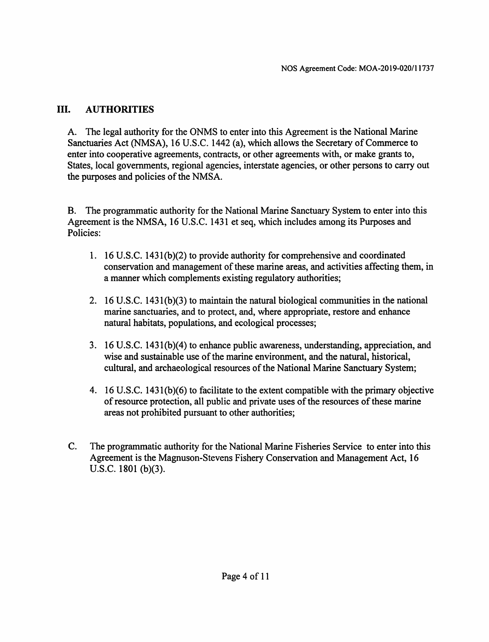#### III. **AUTHORITIES**

A. The legal authority for the ONMS to enter into this Agreement is the National Marine Sanctuaries Act (NMSA), 16 U.S.C. 1442 (a), which allows the Secretary of Commerce to enter into cooperative agreements, contracts, or other agreements with, or make grants to, States, local governments, regional agencies, interstate agencies, or other persons to carry out the purposes and policies of the NMSA.

B. The programmatic authority for the National Marine Sanctuary System to enter into this Agreement is the NMSA, 16 U.S.C. 1431 et seq, which includes among its Purposes and Policies:

- 1. 16 U.S.C. 1431(b)(2) to provide authority for comprehensive and coordinated conservation and management of these marine areas, and activities affecting them, in a manner which complements existing regulatory authorities;
- 2. 16 U.S.C. 1431(b)(3) to maintain the natural biological communities in the national marine sanctuaries, and to protect, and, where appropriate, restore and enhance natural habitats, populations, and ecological processes;
- 3. 16 U.S.C. 1431(b)(4) to enhance public awareness, understanding, appreciation, and wise and sustainable use of the marine environment, and the natural, historical, cultural, and archaeological resources of the National Marine Sanctuary System:
- 4. 16 U.S.C. 1431(b)(6) to facilitate to the extent compatible with the primary objective of resource protection, all public and private uses of the resources of these marine areas not prohibited pursuant to other authorities;
- $C_{\cdot}$ The programmatic authority for the National Marine Fisheries Service to enter into this Agreement is the Magnuson-Stevens Fishery Conservation and Management Act, 16 U.S.C. 1801 (b)(3).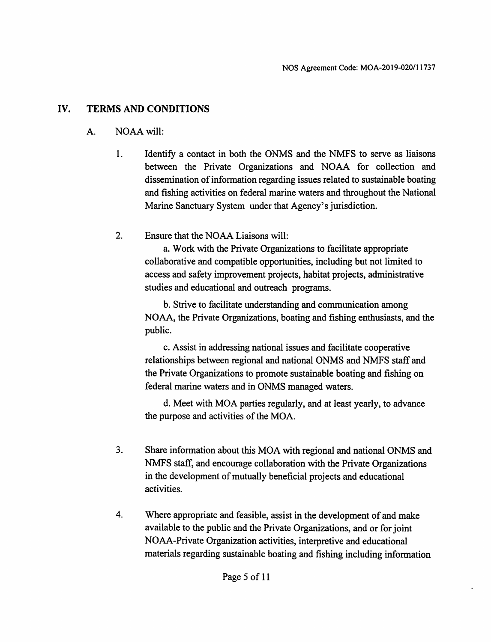#### IV. **TERMS AND CONDITIONS**

#### NOAA will: A.

- $1<sub>1</sub>$ Identify a contact in both the ONMS and the NMFS to serve as liaisons between the Private Organizations and NOAA for collection and dissemination of information regarding issues related to sustainable boating and fishing activities on federal marine waters and throughout the National Marine Sanctuary System under that Agency's jurisdiction.
- $2.$ Ensure that the NOAA Liaisons will:

a. Work with the Private Organizations to facilitate appropriate collaborative and compatible opportunities, including but not limited to access and safety improvement projects, habitat projects, administrative studies and educational and outreach programs.

b. Strive to facilitate understanding and communication among NOAA, the Private Organizations, boating and fishing enthusiasts, and the public.

c. Assist in addressing national issues and facilitate cooperative relationships between regional and national ONMS and NMFS staff and the Private Organizations to promote sustainable boating and fishing on federal marine waters and in ONMS managed waters.

d. Meet with MOA parties regularly, and at least yearly, to advance the purpose and activities of the MOA.

- $3<sub>1</sub>$ Share information about this MOA with regional and national ONMS and NMFS staff, and encourage collaboration with the Private Organizations in the development of mutually beneficial projects and educational activities.
- $\overline{4}$ . Where appropriate and feasible, assist in the development of and make available to the public and the Private Organizations, and or for joint NOAA-Private Organization activities, interpretive and educational materials regarding sustainable boating and fishing including information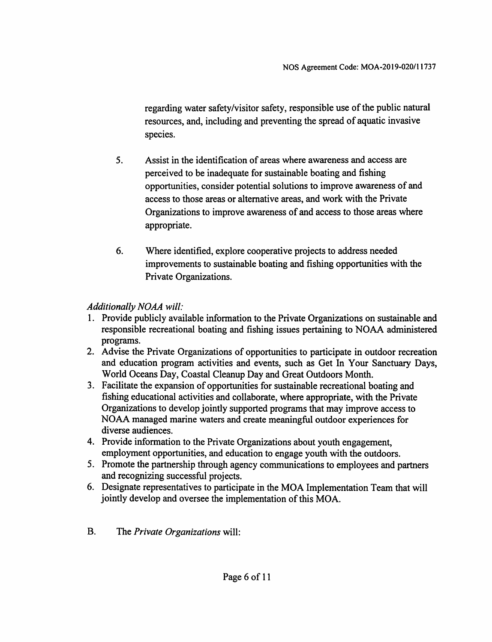regarding water safety/visitor safety, responsible use of the public natural resources, and, including and preventing the spread of aquatic invasive species.

- 5. Assist in the identification of areas where awareness and access are perceived to be inadequate for sustainable boating and fishing opportunities, consider potential solutions to improve awareness of and access to those areas or alternative areas, and work with the Private Organizations to improve awareness of and access to those areas where appropriate.
- 6. Where identified, explore cooperative projects to address needed improvements to sustainable boating and fishing opportunities with the Private Organizations.

### **Additionally NOAA will:**

- 1. Provide publicly available information to the Private Organizations on sustainable and responsible recreational boating and fishing issues pertaining to NOAA administered programs.
- 2. Advise the Private Organizations of opportunities to participate in outdoor recreation and education program activities and events, such as Get In Your Sanctuary Days, World Oceans Day, Coastal Cleanup Day and Great Outdoors Month.
- 3. Facilitate the expansion of opportunities for sustainable recreational boating and fishing educational activities and collaborate, where appropriate, with the Private Organizations to develop jointly supported programs that may improve access to NOAA managed marine waters and create meaningful outdoor experiences for diverse audiences.
- 4. Provide information to the Private Organizations about youth engagement, employment opportunities, and education to engage youth with the outdoors.
- 5. Promote the partnership through agency communications to employees and partners and recognizing successful projects.
- 6. Designate representatives to participate in the MOA Implementation Team that will jointly develop and oversee the implementation of this MOA.
- $B<sub>r</sub>$ The Private Organizations will: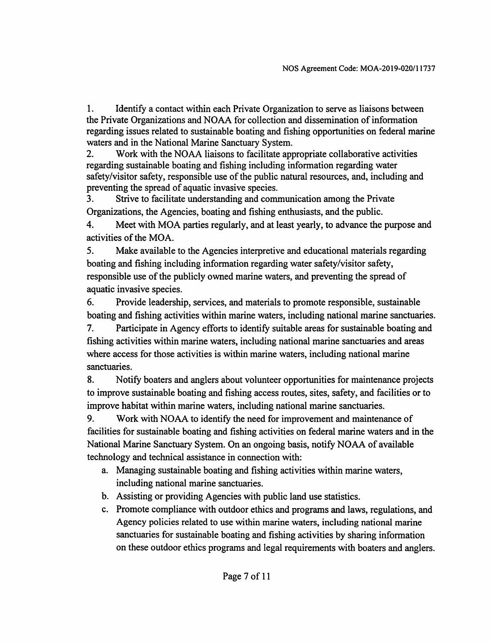1. Identify a contact within each Private Organization to serve as liaisons between the Private Organizations and NOAA for collection and dissemination of information regarding issues related to sustainable boating and fishing opportunities on federal marine waters and in the National Marine Sanctuary System.

Work with the NOAA liaisons to facilitate appropriate collaborative activities  $2.$ regarding sustainable boating and fishing including information regarding water safety/visitor safety, responsible use of the public natural resources, and, including and preventing the spread of aquatic invasive species.

Strive to facilitate understanding and communication among the Private 3. Organizations, the Agencies, boating and fishing enthusiasts, and the public.

4. Meet with MOA parties regularly, and at least yearly, to advance the purpose and activities of the MOA.

5. Make available to the Agencies interpretive and educational materials regarding boating and fishing including information regarding water safety/visitor safety, responsible use of the publicly owned marine waters, and preventing the spread of aquatic invasive species.

6. Provide leadership, services, and materials to promote responsible, sustainable boating and fishing activities within marine waters, including national marine sanctuaries.

7. Participate in Agency efforts to identify suitable areas for sustainable boating and fishing activities within marine waters, including national marine sanctuaries and areas where access for those activities is within marine waters, including national marine sanctuaries.

8. Notify boaters and anglers about volunteer opportunities for maintenance projects to improve sustainable boating and fishing access routes, sites, safety, and facilities or to improve habitat within marine waters, including national marine sanctuaries.

9. Work with NOAA to identify the need for improvement and maintenance of facilities for sustainable boating and fishing activities on federal marine waters and in the National Marine Sanctuary System. On an ongoing basis, notify NOAA of available technology and technical assistance in connection with:

- a. Managing sustainable boating and fishing activities within marine waters. including national marine sanctuaries.
- b. Assisting or providing Agencies with public land use statistics.
- c. Promote compliance with outdoor ethics and programs and laws, regulations, and Agency policies related to use within marine waters, including national marine sanctuaries for sustainable boating and fishing activities by sharing information on these outdoor ethics programs and legal requirements with boaters and anglers.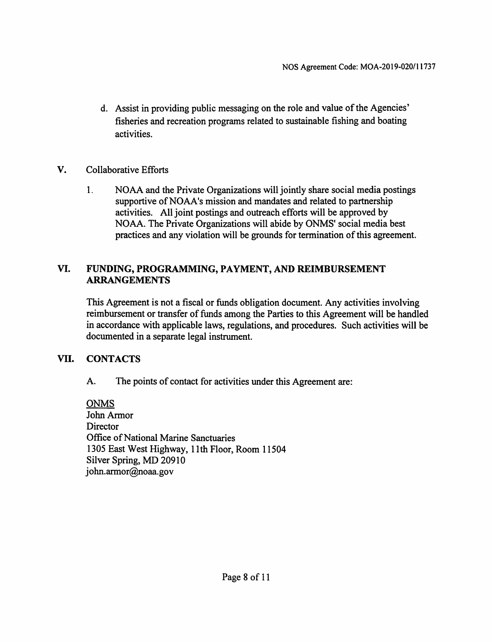- d. Assist in providing public messaging on the role and value of the Agencies' fisheries and recreation programs related to sustainable fishing and boating activities.
- V. **Collaborative Efforts** 
	- $1.$ NOAA and the Private Organizations will jointly share social media postings supportive of NOAA's mission and mandates and related to partnership activities. All joint postings and outreach efforts will be approved by NOAA. The Private Organizations will abide by ONMS' social media best practices and any violation will be grounds for termination of this agreement.

### VI. FUNDING, PROGRAMMING, PAYMENT, AND REIMBURSEMENT **ARRANGEMENTS**

This Agreement is not a fiscal or funds obligation document. Any activities involving reimbursement or transfer of funds among the Parties to this Agreement will be handled in accordance with applicable laws, regulations, and procedures. Such activities will be documented in a separate legal instrument.

#### VII. **CONTACTS**

The points of contact for activities under this Agreement are: A.

**ONMS** John Armor Director **Office of National Marine Sanctuaries** 1305 East West Highway, 11th Floor, Room 11504 Silver Spring, MD 20910 john.armor@noaa.gov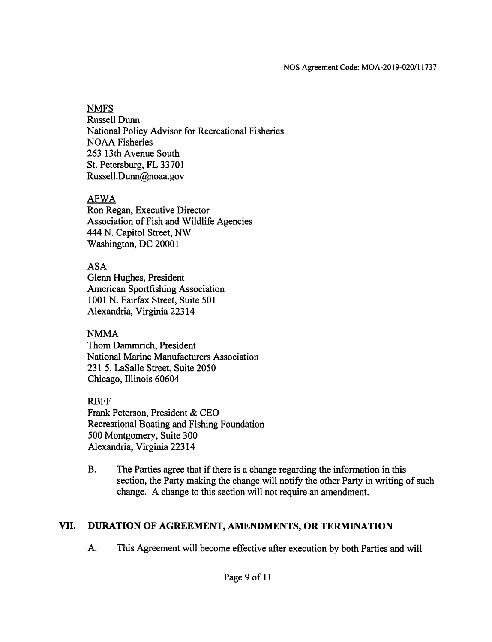### **NMFS**

**Russell Dunn** National Policy Advisor for Recreational Fisheries **NOAA Fisheries** 263 13th Avenue South St. Petersburg, FL 33701 Russell.Dunn@noaa.gov

## **AFWA**

Ron Regan, Executive Director Association of Fish and Wildlife Agencies 444 N. Capitol Street, NW Washington, DC 20001

**ASA** 

Glenn Hughes, President **American Sportfishing Association** 1001 N. Fairfax Street, Suite 501 Alexandria, Virginia 22314

## **NMMA**

Thom Dammrich, President National Marine Manufacturers Association 231 5. LaSalle Street, Suite 2050 Chicago, Illinois 60604

**RBFF** 

Frank Peterson, President & CEO Recreational Boating and Fishing Foundation 500 Montgomery, Suite 300 Alexandria, Virginia 22314

 $B<sub>1</sub>$ The Parties agree that if there is a change regarding the information in this section, the Party making the change will notify the other Party in writing of such change. A change to this section will not require an amendment.

#### VII. DURATION OF AGREEMENT, AMENDMENTS, OR TERMINATION

 $A<sub>1</sub>$ This Agreement will become effective after execution by both Parties and will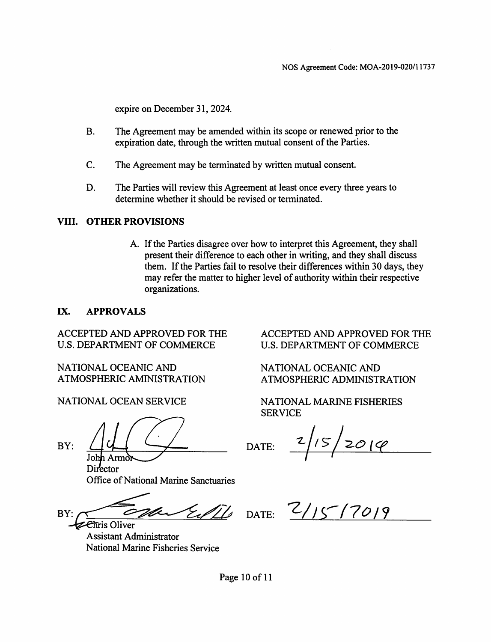expire on December 31, 2024.

- **B.** The Agreement may be amended within its scope or renewed prior to the expiration date, through the written mutual consent of the Parties.
- $C_{\cdot}$ The Agreement may be terminated by written mutual consent.
- D. The Parties will review this Agreement at least once every three years to determine whether it should be revised or terminated.

### VIII. OTHER PROVISIONS

A. If the Parties disagree over how to interpret this Agreement, they shall present their difference to each other in writing, and they shall discuss them. If the Parties fail to resolve their differences within 30 days, they may refer the matter to higher level of authority within their respective organizations.

#### IX. **APPROVALS**

**ACCEPTED AND APPROVED FOR THE U.S. DEPARTMENT OF COMMERCE** 

NATIONAL OCEANIC AND ATMOSPHERIC AMINISTRATION

NATIONAL OCEAN SERVICE

BY:

John Armor

Director **Office of National Marine Sanctuaries** 

EdTs  $BY:$ 

Chris Oliver **Assistant Administrator** National Marine Fisheries Service

ACCEPTED AND APPROVED FOR THE U.S. DEPARTMENT OF COMMERCE

NATIONAL OCEANIC AND ATMOSPHERIC ADMINISTRATION

NATIONAL MARINE FISHERIES **SERVICE** 

 $2/15/2019$ DATE:

DATE:  $2/15^{-}$ /7019

Page 10 of 11